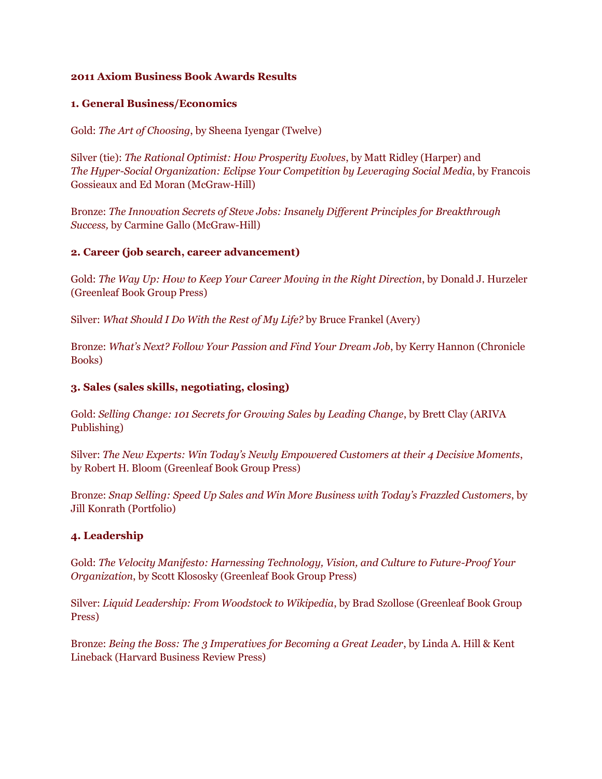#### **2011 Axiom Business Book Awards Results**

#### **1. General Business/Economics**

Gold: *The Art of Choosing*, by Sheena Iyengar (Twelve)

Silver (tie): *The Rational Optimist: How Prosperity Evolves*, by Matt Ridley (Harper) and *The Hyper-Social Organization: Eclipse Your Competition by Leveraging Social Media*, by Francois Gossieaux and Ed Moran (McGraw-Hill)

Bronze: *The Innovation Secrets of Steve Jobs: Insanely Different Principles for Breakthrough Success,* by Carmine Gallo (McGraw-Hill)

### **2. Career (job search, career advancement)**

Gold: *The Way Up: How to Keep Your Career Moving in the Right Direction*, by Donald J. Hurzeler (Greenleaf Book Group Press)

Silver: *What Should I Do With the Rest of My Life?* by Bruce Frankel (Avery)

Bronze: *What's Next? Follow Your Passion and Find Your Dream Job*, by Kerry Hannon (Chronicle Books)

### **3. Sales (sales skills, negotiating, closing)**

Gold: *Selling Change: 101 Secrets for Growing Sales by Leading Change*, by Brett Clay (ARIVA Publishing)

Silver: *The New Experts: Win Today's Newly Empowered Customers at their 4 Decisive Moments*, by Robert H. Bloom (Greenleaf Book Group Press)

Bronze: *Snap Selling: Speed Up Sales and Win More Business with Today's Frazzled Customers*, by Jill Konrath (Portfolio)

# **4. Leadership**

Gold: *The Velocity Manifesto: Harnessing Technology, Vision, and Culture to Future-Proof Your Organization*, by Scott Klososky (Greenleaf Book Group Press)

Silver: *Liquid Leadership: From Woodstock to Wikipedia*, by Brad Szollose (Greenleaf Book Group Press)

Bronze: *Being the Boss: The 3 Imperatives for Becoming a Great Leader*, by Linda A. Hill & Kent Lineback (Harvard Business Review Press)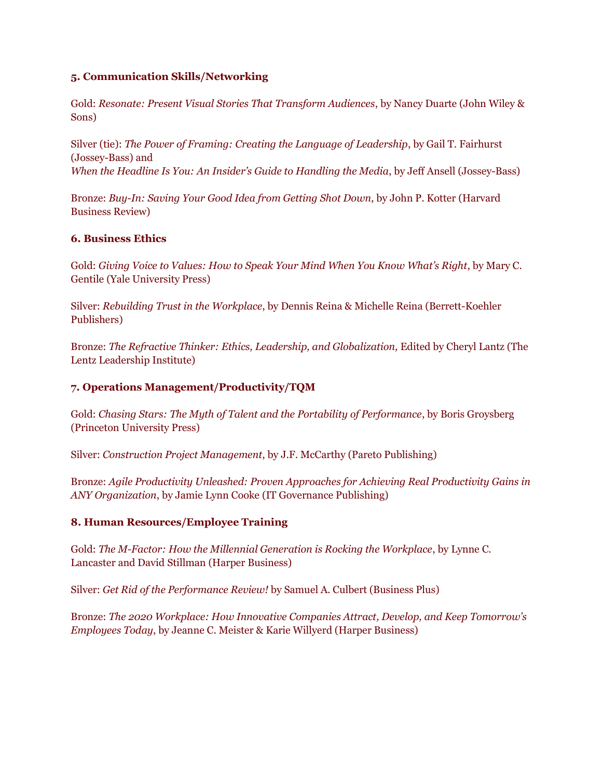### **5. Communication Skills/Networking**

Gold: *Resonate: Present Visual Stories That Transform Audiences*, by Nancy Duarte (John Wiley & Sons)

Silver (tie): *The Power of Framing: Creating the Language of Leadership*, by Gail T. Fairhurst (Jossey-Bass) and *When the Headline Is You: An Insider's Guide to Handling the Media*, by Jeff Ansell (Jossey-Bass)

Bronze: *Buy-In: Saving Your Good Idea from Getting Shot Down*, by John P. Kotter (Harvard Business Review)

# **6. Business Ethics**

Gold: *Giving Voice to Values: How to Speak Your Mind When You Know What's Right*, by Mary C. Gentile (Yale University Press)

Silver: *Rebuilding Trust in the Workplace*, by Dennis Reina & Michelle Reina (Berrett-Koehler Publishers)

Bronze: *The Refractive Thinker: Ethics, Leadership, and Globalization,* Edited by Cheryl Lantz (The Lentz Leadership Institute)

# **7. Operations Management/Productivity/TQM**

Gold: *Chasing Stars: The Myth of Talent and the Portability of Performance*, by Boris Groysberg (Princeton University Press)

Silver: *Construction Project Management*, by J.F. McCarthy (Pareto Publishing)

Bronze: *Agile Productivity Unleashed: Proven Approaches for Achieving Real Productivity Gains in ANY Organization*, by Jamie Lynn Cooke (IT Governance Publishing)

# **8. Human Resources/Employee Training**

Gold: *The M-Factor: How the Millennial Generation is Rocking the Workplace*, by Lynne C. Lancaster and David Stillman (Harper Business)

Silver: *Get Rid of the Performance Review!* by Samuel A. Culbert (Business Plus)

Bronze: *The 2020 Workplace: How Innovative Companies Attract, Develop, and Keep Tomorrow's Employees Today*, by Jeanne C. Meister & Karie Willyerd (Harper Business)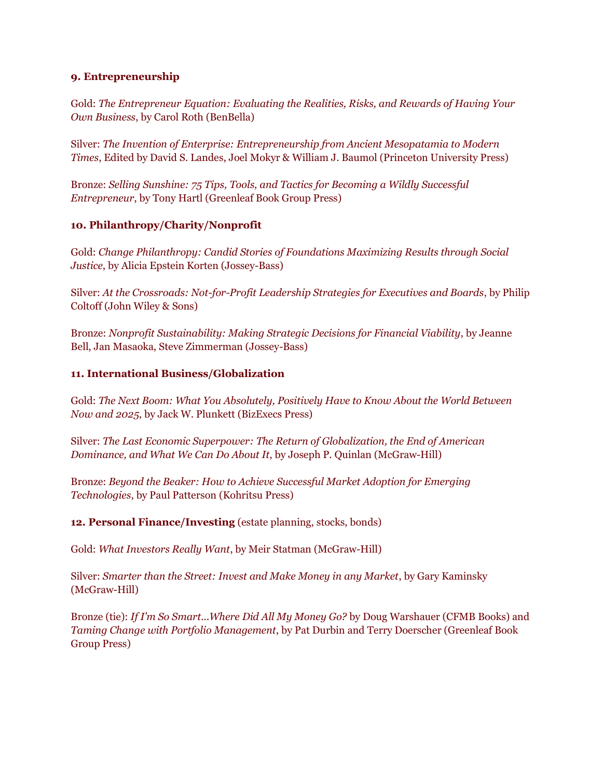# **9. Entrepreneurship**

Gold: *The Entrepreneur Equation: Evaluating the Realities, Risks, and Rewards of Having Your Own Business*, by Carol Roth (BenBella)

Silver: *The Invention of Enterprise: Entrepreneurship from Ancient Mesopatamia to Modern Times*, Edited by David S. Landes, Joel Mokyr & William J. Baumol (Princeton University Press)

Bronze: *Selling Sunshine: 75 Tips, Tools, and Tactics for Becoming a Wildly Successful Entrepreneur*, by Tony Hartl (Greenleaf Book Group Press)

# **10. Philanthropy/Charity/Nonprofit**

Gold: *Change Philanthropy: Candid Stories of Foundations Maximizing Results through Social Justice*, by Alicia Epstein Korten (Jossey-Bass)

Silver: *At the Crossroads: Not-for-Profit Leadership Strategies for Executives and Boards*, by Philip Coltoff (John Wiley & Sons)

Bronze: *Nonprofit Sustainability: Making Strategic Decisions for Financial Viability*, by Jeanne Bell, Jan Masaoka, Steve Zimmerman (Jossey-Bass)

### **11. International Business/Globalization**

Gold: *The Next Boom: What You Absolutely, Positively Have to Know About the World Between Now and 2025*, by Jack W. Plunkett (BizExecs Press)

Silver: *The Last Economic Superpower: The Return of Globalization, the End of American Dominance, and What We Can Do About It*, by Joseph P. Quinlan (McGraw-Hill)

Bronze: *Beyond the Beaker: How to Achieve Successful Market Adoption for Emerging Technologies*, by Paul Patterson (Kohritsu Press)

**12. Personal Finance/Investing** (estate planning, stocks, bonds)

Gold: *What Investors Really Want*, by Meir Statman (McGraw-Hill)

Silver: *Smarter than the Street: Invest and Make Money in any Market*, by Gary Kaminsky (McGraw-Hill)

Bronze (tie): *If I'm So Smart...Where Did All My Money Go?* by Doug Warshauer (CFMB Books) and *Taming Change with Portfolio Management*, by Pat Durbin and Terry Doerscher (Greenleaf Book Group Press)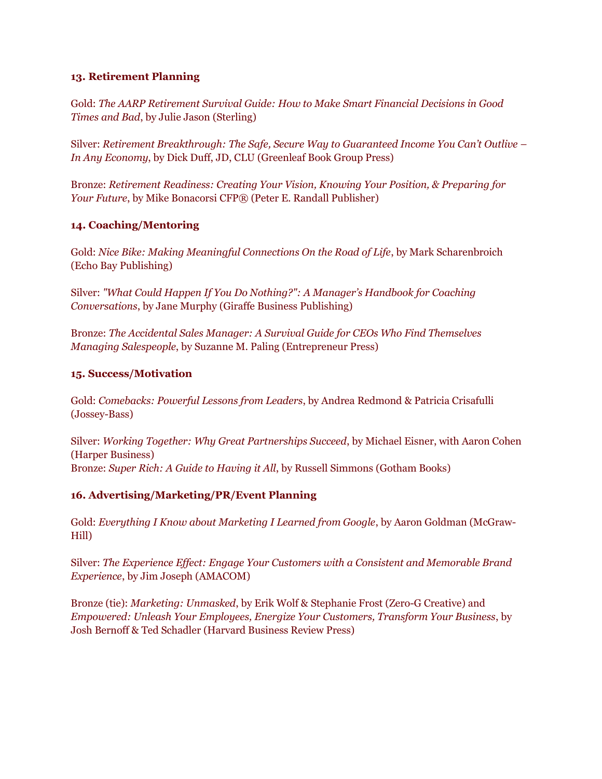# **13. Retirement Planning**

Gold: *The AARP Retirement Survival Guide: How to Make Smart Financial Decisions in Good Times and Bad*, by Julie Jason (Sterling)

Silver: *Retirement Breakthrough: The Safe, Secure Way to Guaranteed Income You Can't Outlive – In Any Economy*, by Dick Duff, JD, CLU (Greenleaf Book Group Press)

Bronze: *Retirement Readiness: Creating Your Vision, Knowing Your Position, & Preparing for Your Future*, by Mike Bonacorsi CFP® (Peter E. Randall Publisher)

### **14. Coaching/Mentoring**

Gold: *Nice Bike: Making Meaningful Connections On the Road of Life*, by Mark Scharenbroich (Echo Bay Publishing)

Silver: *"What Could Happen If You Do Nothing?": A Manager's Handbook for Coaching Conversations*, by Jane Murphy (Giraffe Business Publishing)

Bronze: *The Accidental Sales Manager: A Survival Guide for CEOs Who Find Themselves Managing Salespeople*, by Suzanne M. Paling (Entrepreneur Press)

### **15. Success/Motivation**

Gold: *Comebacks: Powerful Lessons from Leaders*, by Andrea Redmond & Patricia Crisafulli (Jossey-Bass)

Silver: *Working Together: Why Great Partnerships Succeed*, by Michael Eisner, with Aaron Cohen (Harper Business) Bronze: *Super Rich: A Guide to Having it All*, by Russell Simmons (Gotham Books)

# **16. Advertising/Marketing/PR/Event Planning**

Gold: *Everything I Know about Marketing I Learned from Google*, by Aaron Goldman (McGraw-Hill)

Silver: *The Experience Effect: Engage Your Customers with a Consistent and Memorable Brand Experience*, by Jim Joseph (AMACOM)

Bronze (tie): *Marketing: Unmasked*, by Erik Wolf & Stephanie Frost (Zero-G Creative) and *Empowered: Unleash Your Employees, Energize Your Customers, Transform Your Business*, by Josh Bernoff & Ted Schadler (Harvard Business Review Press)